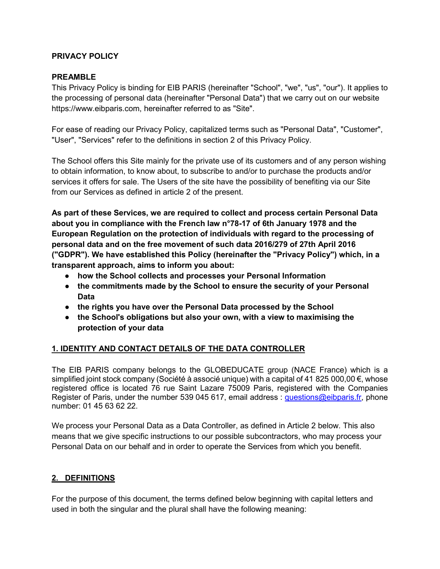#### **PRIVACY POLICY**

#### **PREAMBLE**

This Privacy Policy is binding for EIB PARIS (hereinafter "School", "we", "us", "our"). It applies to the processing of personal data (hereinafter "Personal Data") that we carry out on our website https://www.eibparis.com, hereinafter referred to as "Site".

For ease of reading our Privacy Policy, capitalized terms such as "Personal Data", "Customer", "User", "Services" refer to the definitions in section 2 of this Privacy Policy.

The School offers this Site mainly for the private use of its customers and of any person wishing to obtain information, to know about, to subscribe to and/or to purchase the products and/or services it offers for sale. The Users of the site have the possibility of benefiting via our Site from our Services as defined in article 2 of the present.

**As part of these Services, we are required to collect and process certain Personal Data about you in compliance with the French law n°78-17 of 6th January 1978 and the European Regulation on the protection of individuals with regard to the processing of personal data and on the free movement of such data 2016/279 of 27th April 2016 ("GDPR"). We have established this Policy (hereinafter the "Privacy Policy") which, in a transparent approach, aims to inform you about:**

- **how the School collects and processes your Personal Information**
- **the commitments made by the School to ensure the security of your Personal Data**
- **the rights you have over the Personal Data processed by the School**
- **the School's obligations but also your own, with a view to maximising the protection of your data**

### **1. IDENTITY AND CONTACT DETAILS OF THE DATA CONTROLLER**

The EIB PARIS company belongs to the GLOBEDUCATE group (NACE France) which is a simplified joint stock company (Société à associé unique) with a capital of 41 825 000,00 €, whose registered office is located 76 rue Saint Lazare 75009 Paris, registered with the Companies Register of Paris, under the number 539 045 617, email address : [questions@eibparis.fr,](mailto:questions@eibparis.fr) phone number: 01 45 63 62 22.

We process your Personal Data as a Data Controller, as defined in Article 2 below. This also means that we give specific instructions to our possible subcontractors, who may process your Personal Data on our behalf and in order to operate the Services from which you benefit.

### **2. DEFINITIONS**

For the purpose of this document, the terms defined below beginning with capital letters and used in both the singular and the plural shall have the following meaning: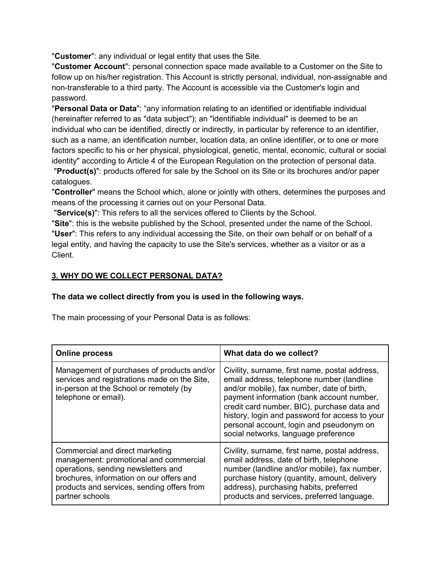"**Customer**": any individual or legal entity that uses the Site.

"**Customer Account**": personal connection space made available to a Customer on the Site to follow up on his/her registration. This Account is strictly personal, individual, non-assignable and non-transferable to a third party. The Account is accessible via the Customer's login and password.

"**Personal Data or Data**": "any information relating to an identified or identifiable individual (hereinafter referred to as "data subject"); an "identifiable individual" is deemed to be an individual who can be identified, directly or indirectly, in particular by reference to an identifier, such as a name, an identification number, location data, an online identifier, or to one or more factors specific to his or her physical, physiological, genetic, mental, economic, cultural or social identity" according to Article 4 of the European Regulation on the protection of personal data.

"**Product(s)**": products offered for sale by the School on its Site or its brochures and/or paper catalogues.

"**Controller**" means the School which, alone or jointly with others, determines the purposes and means of the processing it carries out on your Personal Data.

"**Service(s)**": This refers to all the services offered to Clients by the School.

"**Site**": this is the website published by the School, presented under the name of the School. "**User**": This refers to any individual accessing the Site, on their own behalf or on behalf of a legal entity, and having the capacity to use the Site's services, whether as a visitor or as a Client.

### **3. WHY DO WE COLLECT PERSONAL DATA?**

#### **The data we collect directly from you is used in the following ways.**

The main processing of your Personal Data is as follows:

| <b>Online process</b>                                                                                                                                                                                                         | What data do we collect?                                                                                                                                                                                                                                                                                                                                                    |
|-------------------------------------------------------------------------------------------------------------------------------------------------------------------------------------------------------------------------------|-----------------------------------------------------------------------------------------------------------------------------------------------------------------------------------------------------------------------------------------------------------------------------------------------------------------------------------------------------------------------------|
| Management of purchases of products and/or<br>services and registrations made on the Site,<br>in-person at the School or remotely (by<br>telephone or email).                                                                 | Civility, surname, first name, postal address,<br>email address, telephone number (landline<br>and/or mobile), fax number, date of birth,<br>payment information (bank account number,<br>credit card number, BIC), purchase data and<br>history, login and password for access to your<br>personal account, login and pseudonym on<br>social networks, language preference |
| Commercial and direct marketing<br>management: promotional and commercial<br>operations, sending newsletters and<br>brochures, information on our offers and<br>products and services, sending offers from<br>partner schools | Civility, surname, first name, postal address,<br>email address, date of birth, telephone<br>number (landline and/or mobile), fax number,<br>purchase history (quantity, amount, delivery<br>address), purchasing habits, preferred<br>products and services, preferred language.                                                                                           |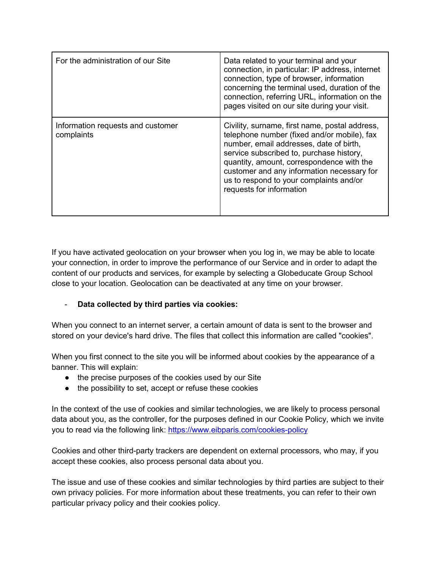| For the administration of our Site              | Data related to your terminal and your<br>connection, in particular: IP address, internet<br>connection, type of browser, information<br>concerning the terminal used, duration of the<br>connection, referring URL, information on the<br>pages visited on our site during your visit.                                                                |
|-------------------------------------------------|--------------------------------------------------------------------------------------------------------------------------------------------------------------------------------------------------------------------------------------------------------------------------------------------------------------------------------------------------------|
| Information requests and customer<br>complaints | Civility, surname, first name, postal address,<br>telephone number (fixed and/or mobile), fax<br>number, email addresses, date of birth,<br>service subscribed to, purchase history,<br>quantity, amount, correspondence with the<br>customer and any information necessary for<br>us to respond to your complaints and/or<br>requests for information |

If you have activated geolocation on your browser when you log in, we may be able to locate your connection, in order to improve the performance of our Service and in order to adapt the content of our products and services, for example by selecting a Globeducate Group School close to your location. Geolocation can be deactivated at any time on your browser.

### - **Data collected by third parties via cookies:**

When you connect to an internet server, a certain amount of data is sent to the browser and stored on your device's hard drive. The files that collect this information are called "cookies".

When you first connect to the site you will be informed about cookies by the appearance of a banner. This will explain:

- the precise purposes of the cookies used by our Site
- the possibility to set, accept or refuse these cookies

In the context of the use of cookies and similar technologies, we are likely to process personal data about you, as the controller, for the purposes defined in our Cookie Policy, which we invite you to read via the following link: <https://www.eibparis.com/cookies-policy>

Cookies and other third-party trackers are dependent on external processors, who may, if you accept these cookies, also process personal data about you.

The issue and use of these cookies and similar technologies by third parties are subject to their own privacy policies. For more information about these treatments, you can refer to their own particular privacy policy and their cookies policy.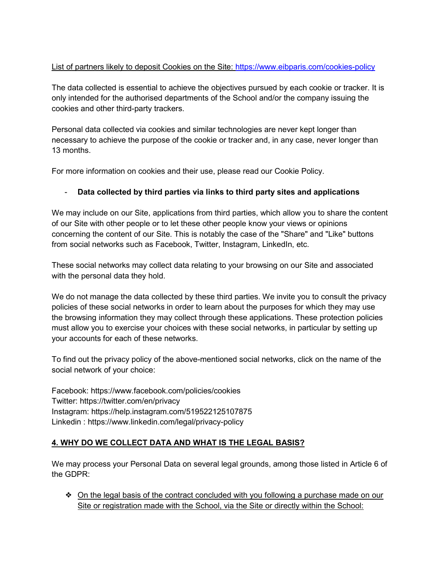## List of partners likely to deposit Cookies on the Site:<https://www.eibparis.com/cookies-policy>

The data collected is essential to achieve the objectives pursued by each cookie or tracker. It is only intended for the authorised departments of the School and/or the company issuing the cookies and other third-party trackers.

Personal data collected via cookies and similar technologies are never kept longer than necessary to achieve the purpose of the cookie or tracker and, in any case, never longer than 13 months.

For more information on cookies and their use, please read our Cookie Policy.

## - **Data collected by third parties via links to third party sites and applications**

We may include on our Site, applications from third parties, which allow you to share the content of our Site with other people or to let these other people know your views or opinions concerning the content of our Site. This is notably the case of the "Share" and "Like" buttons from social networks such as Facebook, Twitter, Instagram, LinkedIn, etc.

These social networks may collect data relating to your browsing on our Site and associated with the personal data they hold.

We do not manage the data collected by these third parties. We invite you to consult the privacy policies of these social networks in order to learn about the purposes for which they may use the browsing information they may collect through these applications. These protection policies must allow you to exercise your choices with these social networks, in particular by setting up your accounts for each of these networks.

To find out the privacy policy of the above-mentioned social networks, click on the name of the social network of your choice:

Facebook: https://www.facebook.com/policies/cookies Twitter: https://twitter.com/en/privacy Instagram: https://help.instagram.com/519522125107875 Linkedin : https://www.linkedin.com/legal/privacy-policy

### **4. WHY DO WE COLLECT DATA AND WHAT IS THE LEGAL BASIS?**

We may process your Personal Data on several legal grounds, among those listed in Article 6 of the GDPR:

❖ On the legal basis of the contract concluded with you following a purchase made on our Site or registration made with the School, via the Site or directly within the School: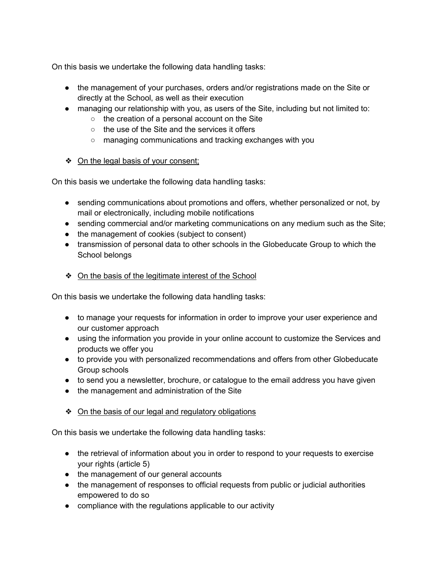On this basis we undertake the following data handling tasks:

- the management of your purchases, orders and/or registrations made on the Site or directly at the School, as well as their execution
- managing our relationship with you, as users of the Site, including but not limited to:
	- the creation of a personal account on the Site
	- the use of the Site and the services it offers
	- managing communications and tracking exchanges with you
- ❖ On the legal basis of your consent;

On this basis we undertake the following data handling tasks:

- sending communications about promotions and offers, whether personalized or not, by mail or electronically, including mobile notifications
- sending commercial and/or marketing communications on any medium such as the Site;
- the management of cookies (subject to consent)
- transmission of personal data to other schools in the Globeducate Group to which the School belongs
- ❖ On the basis of the legitimate interest of the School

On this basis we undertake the following data handling tasks:

- to manage your requests for information in order to improve your user experience and our customer approach
- using the information you provide in your online account to customize the Services and products we offer you
- to provide you with personalized recommendations and offers from other Globeducate Group schools
- to send you a newsletter, brochure, or catalogue to the email address you have given
- the management and administration of the Site
- ❖ On the basis of our legal and regulatory obligations

On this basis we undertake the following data handling tasks:

- the retrieval of information about you in order to respond to your requests to exercise your rights (article 5)
- the management of our general accounts
- the management of responses to official requests from public or judicial authorities empowered to do so
- compliance with the regulations applicable to our activity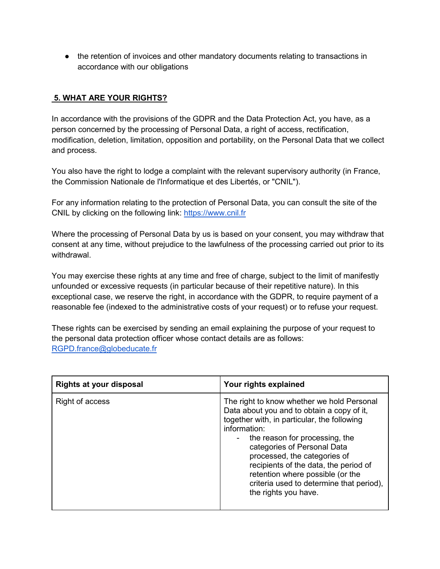• the retention of invoices and other mandatory documents relating to transactions in accordance with our obligations

## **5. WHAT ARE YOUR RIGHTS?**

In accordance with the provisions of the GDPR and the Data Protection Act, you have, as a person concerned by the processing of Personal Data, a right of access, rectification, modification, deletion, limitation, opposition and portability, on the Personal Data that we collect and process.

You also have the right to lodge a complaint with the relevant supervisory authority (in France, the Commission Nationale de l'Informatique et des Libertés, or "CNIL").

For any information relating to the protection of Personal Data, you can consult the site of the CNIL by clicking on the following link: [https://www.cnil.fr](https://www.cnil.fr/)

Where the processing of Personal Data by us is based on your consent, you may withdraw that consent at any time, without prejudice to the lawfulness of the processing carried out prior to its withdrawal.

You may exercise these rights at any time and free of charge, subject to the limit of manifestly unfounded or excessive requests (in particular because of their repetitive nature). In this exceptional case, we reserve the right, in accordance with the GDPR, to require payment of a reasonable fee (indexed to the administrative costs of your request) or to refuse your request.

These rights can be exercised by sending an email explaining the purpose of your request to the personal data protection officer whose contact details are as follows: [RGPD.france@globeducate.fr](mailto:RGPD.france@globeducate.fr)

| <b>Rights at your disposal</b> | Your rights explained                                                                                                                                                                                                                                                                                                                                                                                                         |
|--------------------------------|-------------------------------------------------------------------------------------------------------------------------------------------------------------------------------------------------------------------------------------------------------------------------------------------------------------------------------------------------------------------------------------------------------------------------------|
| Right of access                | The right to know whether we hold Personal<br>Data about you and to obtain a copy of it,<br>together with, in particular, the following<br>information:<br>the reason for processing, the<br>$\sim$ 100 $\mu$<br>categories of Personal Data<br>processed, the categories of<br>recipients of the data, the period of<br>retention where possible (or the<br>criteria used to determine that period),<br>the rights you have. |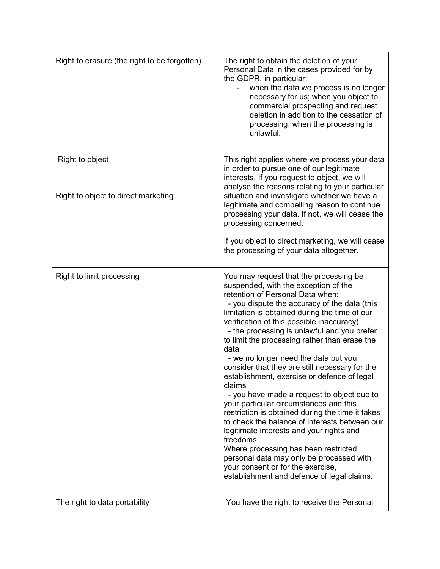| Right to erasure (the right to be forgotten)           | The right to obtain the deletion of your<br>Personal Data in the cases provided for by<br>the GDPR, in particular:<br>when the data we process is no longer<br>necessary for us; when you object to<br>commercial prospecting and request<br>deletion in addition to the cessation of<br>processing; when the processing is<br>unlawful.                                                                                                                                                                                                                                                                                                                                                                                                                                                                                                                                                                                                                 |
|--------------------------------------------------------|----------------------------------------------------------------------------------------------------------------------------------------------------------------------------------------------------------------------------------------------------------------------------------------------------------------------------------------------------------------------------------------------------------------------------------------------------------------------------------------------------------------------------------------------------------------------------------------------------------------------------------------------------------------------------------------------------------------------------------------------------------------------------------------------------------------------------------------------------------------------------------------------------------------------------------------------------------|
| Right to object<br>Right to object to direct marketing | This right applies where we process your data<br>in order to pursue one of our legitimate<br>interests. If you request to object, we will<br>analyse the reasons relating to your particular<br>situation and investigate whether we have a<br>legitimate and compelling reason to continue<br>processing your data. If not, we will cease the<br>processing concerned.<br>If you object to direct marketing, we will cease<br>the processing of your data altogether.                                                                                                                                                                                                                                                                                                                                                                                                                                                                                   |
| Right to limit processing                              | You may request that the processing be<br>suspended, with the exception of the<br>retention of Personal Data when:<br>- you dispute the accuracy of the data (this<br>limitation is obtained during the time of our<br>verification of this possible inaccuracy)<br>- the processing is unlawful and you prefer<br>to limit the processing rather than erase the<br>data<br>- we no longer need the data but you<br>consider that they are still necessary for the<br>establishment, exercise or defence of legal<br>claims<br>- you have made a request to object due to<br>your particular circumstances and this<br>restriction is obtained during the time it takes<br>to check the balance of interests between our<br>legitimate interests and your rights and<br>freedoms<br>Where processing has been restricted,<br>personal data may only be processed with<br>your consent or for the exercise,<br>establishment and defence of legal claims. |
| The right to data portability                          | You have the right to receive the Personal                                                                                                                                                                                                                                                                                                                                                                                                                                                                                                                                                                                                                                                                                                                                                                                                                                                                                                               |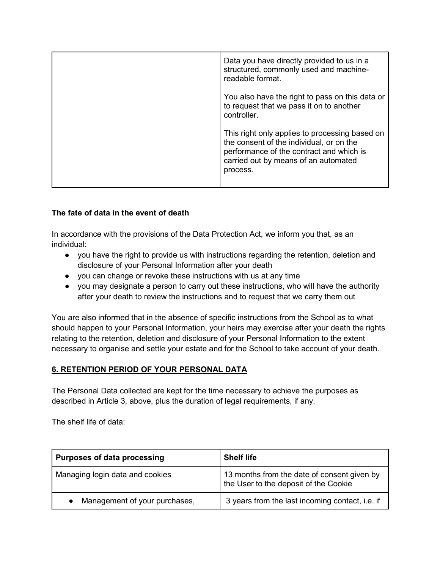| Data you have directly provided to us in a<br>structured, commonly used and machine-<br>readable format.                                                                                   |
|--------------------------------------------------------------------------------------------------------------------------------------------------------------------------------------------|
| You also have the right to pass on this data or<br>to request that we pass it on to another<br>controller.                                                                                 |
| This right only applies to processing based on<br>the consent of the individual, or on the<br>performance of the contract and which is<br>carried out by means of an automated<br>process. |

### **The fate of data in the event of death**

In accordance with the provisions of the Data Protection Act, we inform you that, as an individual:

- you have the right to provide us with instructions regarding the retention, deletion and disclosure of your Personal Information after your death
- you can change or revoke these instructions with us at any time
- you may designate a person to carry out these instructions, who will have the authority after your death to review the instructions and to request that we carry them out

You are also informed that in the absence of specific instructions from the School as to what should happen to your Personal Information, your heirs may exercise after your death the rights relating to the retention, deletion and disclosure of your Personal Information to the extent necessary to organise and settle your estate and for the School to take account of your death.

### **6. RETENTION PERIOD OF YOUR PERSONAL DATA**

The Personal Data collected are kept for the time necessary to achieve the purposes as described in Article 3, above, plus the duration of legal requirements, if any.

The shelf life of data:

| <b>Purposes of data processing</b> | <b>Shelf life</b>                                                                    |
|------------------------------------|--------------------------------------------------------------------------------------|
| Managing login data and cookies    | 13 months from the date of consent given by<br>the User to the deposit of the Cookie |
| Management of your purchases,      | 3 years from the last incoming contact, i.e. if                                      |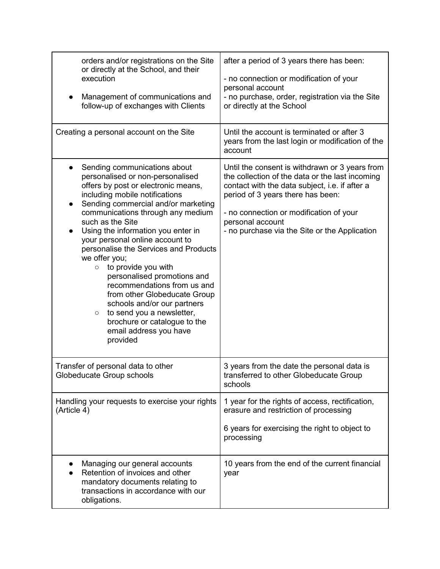| orders and/or registrations on the Site<br>or directly at the School, and their<br>execution<br>Management of communications and<br>follow-up of exchanges with Clients<br>Creating a personal account on the Site                                                                                                                                                                                                                                                                                                                                                                                                                                                                                  | after a period of 3 years there has been:<br>- no connection or modification of your<br>personal account<br>- no purchase, order, registration via the Site<br>or directly at the School<br>Until the account is terminated or after 3<br>years from the last login or modification of the<br>account    |
|-----------------------------------------------------------------------------------------------------------------------------------------------------------------------------------------------------------------------------------------------------------------------------------------------------------------------------------------------------------------------------------------------------------------------------------------------------------------------------------------------------------------------------------------------------------------------------------------------------------------------------------------------------------------------------------------------------|----------------------------------------------------------------------------------------------------------------------------------------------------------------------------------------------------------------------------------------------------------------------------------------------------------|
| Sending communications about<br>$\bullet$<br>personalised or non-personalised<br>offers by post or electronic means,<br>including mobile notifications<br>Sending commercial and/or marketing<br>$\bullet$<br>communications through any medium<br>such as the Site<br>Using the information you enter in<br>$\bullet$<br>your personal online account to<br>personalise the Services and Products<br>we offer you;<br>to provide you with<br>$\circ$<br>personalised promotions and<br>recommendations from us and<br>from other Globeducate Group<br>schools and/or our partners<br>to send you a newsletter,<br>$\bigcirc$<br>brochure or catalogue to the<br>email address you have<br>provided | Until the consent is withdrawn or 3 years from<br>the collection of the data or the last incoming<br>contact with the data subject, i.e. if after a<br>period of 3 years there has been:<br>- no connection or modification of your<br>personal account<br>- no purchase via the Site or the Application |
| Transfer of personal data to other<br>Globeducate Group schools                                                                                                                                                                                                                                                                                                                                                                                                                                                                                                                                                                                                                                     | 3 years from the date the personal data is<br>transferred to other Globeducate Group<br>schools                                                                                                                                                                                                          |
| Handling your requests to exercise your rights<br>(Article 4)                                                                                                                                                                                                                                                                                                                                                                                                                                                                                                                                                                                                                                       | 1 year for the rights of access, rectification,<br>erasure and restriction of processing<br>6 years for exercising the right to object to<br>processing                                                                                                                                                  |
| Managing our general accounts<br>Retention of invoices and other<br>mandatory documents relating to<br>transactions in accordance with our<br>obligations.                                                                                                                                                                                                                                                                                                                                                                                                                                                                                                                                          | 10 years from the end of the current financial<br>year                                                                                                                                                                                                                                                   |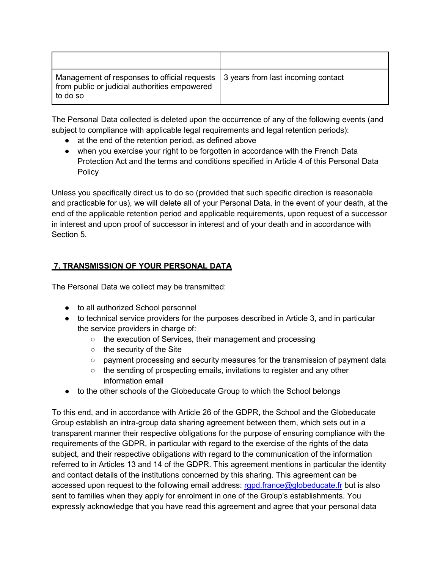| Management of responses to official requests<br>from public or judicial authorities empowered<br>to do so | 3 years from last incoming contact |
|-----------------------------------------------------------------------------------------------------------|------------------------------------|

The Personal Data collected is deleted upon the occurrence of any of the following events (and subject to compliance with applicable legal requirements and legal retention periods):

- at the end of the retention period, as defined above
- when you exercise your right to be forgotten in accordance with the French Data Protection Act and the terms and conditions specified in Article 4 of this Personal Data Policy

Unless you specifically direct us to do so (provided that such specific direction is reasonable and practicable for us), we will delete all of your Personal Data, in the event of your death, at the end of the applicable retention period and applicable requirements, upon request of a successor in interest and upon proof of successor in interest and of your death and in accordance with Section 5.

# **7. TRANSMISSION OF YOUR PERSONAL DATA**

The Personal Data we collect may be transmitted:

- to all authorized School personnel
- to technical service providers for the purposes described in Article 3, and in particular the service providers in charge of:
	- the execution of Services, their management and processing
	- the security of the Site
	- payment processing and security measures for the transmission of payment data
	- the sending of prospecting emails, invitations to register and any other information email
- to the other schools of the Globeducate Group to which the School belongs

To this end, and in accordance with Article 26 of the GDPR, the School and the Globeducate Group establish an intra-group data sharing agreement between them, which sets out in a transparent manner their respective obligations for the purpose of ensuring compliance with the requirements of the GDPR, in particular with regard to the exercise of the rights of the data subject, and their respective obligations with regard to the communication of the information referred to in Articles 13 and 14 of the GDPR. This agreement mentions in particular the identity and contact details of the institutions concerned by this sharing. This agreement can be accessed upon request to the following email address: [rgpd.france@globeducate.fr](mailto:rgpd.france@globeducate.fr) but is also sent to families when they apply for enrolment in one of the Group's establishments. You expressly acknowledge that you have read this agreement and agree that your personal data